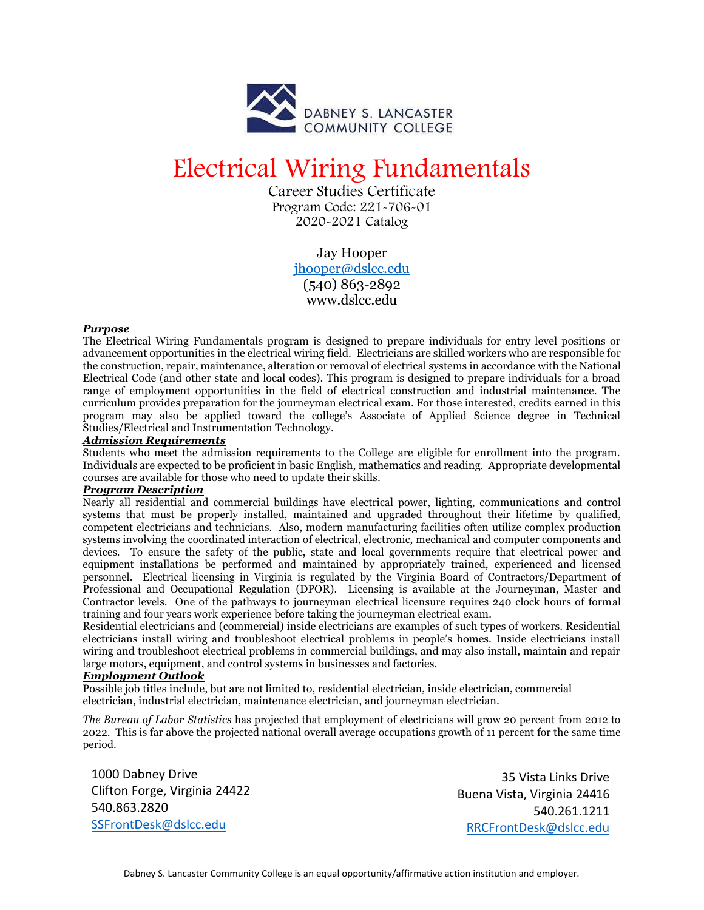

# Electrical Wiring Fundamentals

Career Studies Certificate Program Code: 221-706-01 2020-2021 Catalog

> Jay Hooper [jhooper@dslcc.edu](mailto:jhooper@dslcc.edu) (540) 863-2892 [www.dslcc.edu](http://www.dslcc.edu/)

## *Purpose*

The Electrical Wiring Fundamentals program is designed to prepare individuals for entry level positions or advancement opportunities in the electrical wiring field. Electricians are skilled workers who are responsible for the construction, repair, maintenance, alteration or removal of electrical systems in accordance with the National Electrical Code (and other state and local codes). This program is designed to prepare individuals for a broad range of employment opportunities in the field of electrical construction and industrial maintenance. The curriculum provides preparation for the journeyman electrical exam. For those interested, credits earned in this program may also be applied toward the college's Associate of Applied Science degree in Technical Studies/Electrical and Instrumentation Technology.

### *Admission Requirements*

Students who meet the admission requirements to the College are eligible for enrollment into the program. Individuals are expected to be proficient in basic English, mathematics and reading. Appropriate developmental courses are available for those who need to update their skills.

### *Program Description*

Nearly all residential and commercial buildings have electrical power, lighting, communications and control systems that must be properly installed, maintained and upgraded throughout their lifetime by qualified, competent electricians and technicians. Also, modern manufacturing facilities often utilize complex production systems involving the coordinated interaction of electrical, electronic, mechanical and computer components and devices. To ensure the safety of the public, state and local governments require that electrical power and equipment installations be performed and maintained by appropriately trained, experienced and licensed personnel. Electrical licensing in Virginia is regulated by the Virginia Board of Contractors/Department of Professional and Occupational Regulation (DPOR). Licensing is available at the Journeyman, Master and Contractor levels. One of the pathways to journeyman electrical licensure requires 240 clock hours of formal training and four years work experience before taking the journeyman electrical exam.

Residential electricians and (commercial) inside electricians are examples of such types of workers. Residential electricians install wiring and troubleshoot electrical problems in people's homes. Inside electricians install wiring and troubleshoot electrical problems in commercial buildings, and may also install, maintain and repair large motors, equipment, and control systems in businesses and factories.

### *Employment Outlook*

Possible job titles include, but are not limited to, residential electrician, inside electrician, commercial electrician, industrial electrician, maintenance electrician, and journeyman electrician.

*The Bureau of Labor Statistics* has projected that employment of electricians will grow 20 percent from 2012 to 2022. This is far above the projected national overall average occupations growth of 11 percent for the same time period.

1000 Dabney Drive Clifton Forge, Virginia 24422 540.863.2820 [SSFrontDesk@dslcc.edu](mailto:SSFrontDesk@dslcc.edu)

35 Vista Links Drive Buena Vista, Virginia 24416 540.261.1211 [RRCFrontDesk@dslcc.edu](mailto:RRCFrontDesk@dslcc.edu)